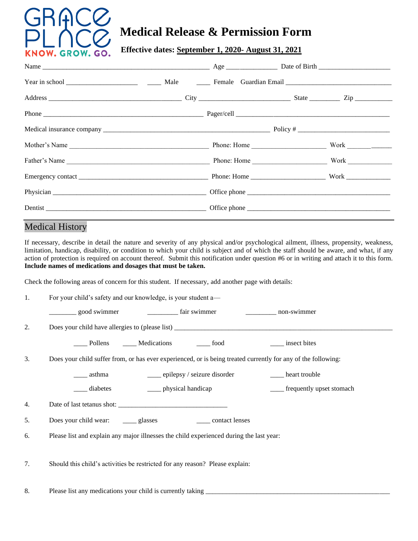

# **Medical Release & Permission Form**

 **Effective dates: September 1, 2020- August 31, 2021**

| Mother's Name |  |      |
|---------------|--|------|
|               |  | Work |
|               |  |      |
|               |  |      |
|               |  |      |

# Medical History

If necessary, describe in detail the nature and severity of any physical and/or psychological ailment, illness, propensity, weakness, limitation, handicap, disability, or condition to which your child is subject and of which the staff should be aware, and what, if any action of protection is required on account thereof. Submit this notification under question #6 or in writing and attach it to this form. **Include names of medications and dosages that must be taken.**

Check the following areas of concern for this student. If necessary, add another page with details:

| 1. | For your child's safety and our knowledge, is your student a—                                                 |
|----|---------------------------------------------------------------------------------------------------------------|
|    | ________ good swimmer                                                                                         |
| 2. |                                                                                                               |
|    | Pollens Medications ______ food<br>insect bites                                                               |
| 3. | Does your child suffer from, or has ever experienced, or is being treated currently for any of the following: |
|    | ____ epilepsy / seizure disorder<br>heart trouble<br>asthma                                                   |
|    | _____ physical handicap<br>frequently upset stomach<br>diabetes                                               |
| 4. |                                                                                                               |
| 5. | ______ contact lenses                                                                                         |
| 6. | Please list and explain any major illnesses the child experienced during the last year:                       |
|    |                                                                                                               |
| 7. | Should this child's activities be restricted for any reason? Please explain:                                  |
|    |                                                                                                               |
| 8. | Please list any medications your child is currently taking                                                    |